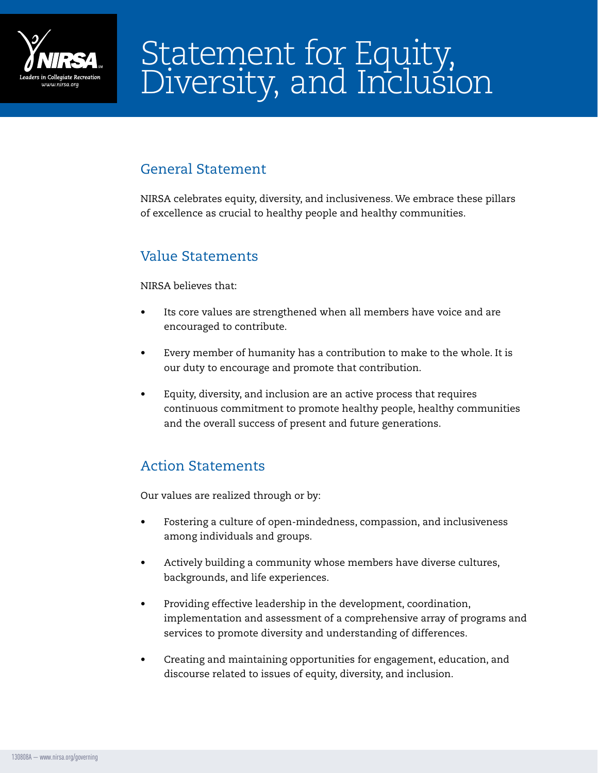

# Statement for Equity, Diversity, and Inclusion

# General Statement

NIRSA celebrates equity, diversity, and inclusiveness. We embrace these pillars of excellence as crucial to healthy people and healthy communities.

### Value Statements

#### NIRSA believes that:

- Its core values are strengthened when all members have voice and are encouraged to contribute.
- Every member of humanity has a contribution to make to the whole. It is our duty to encourage and promote that contribution.
- Equity, diversity, and inclusion are an active process that requires continuous commitment to promote healthy people, healthy communities and the overall success of present and future generations.

## Action Statements

Our values are realized through or by:

- Fostering a culture of open-mindedness, compassion, and inclusiveness among individuals and groups.
- Actively building a community whose members have diverse cultures, backgrounds, and life experiences.
- Providing effective leadership in the development, coordination, implementation and assessment of a comprehensive array of programs and services to promote diversity and understanding of differences.
- Creating and maintaining opportunities for engagement, education, and discourse related to issues of equity, diversity, and inclusion.